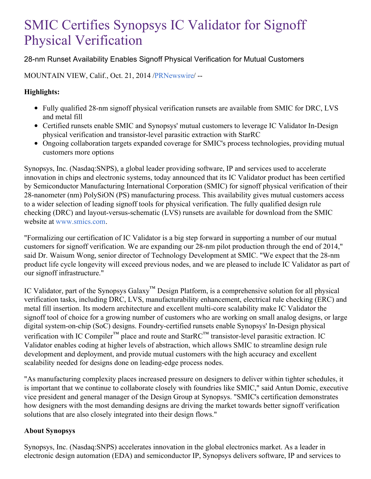# SMIC Certifies Synopsys IC Validator for Signoff Physical Verification

## 28-nm Runset Availability Enables Signoff Physical Verification for Mutual Customers

MOUNTAIN VIEW, Calif., Oct. 21, 2014 [/PRNewswire](http://www.prnewswire.com/)/ --

### **Highlights:**

- Fully qualified 28-nm signoff physical verification runsets are available from SMIC for DRC, LVS and metal fill
- Certified runsets enable SMIC and Synopsys' mutual customers to leverage IC Validator In-Design physical verification and transistor-level parasitic extraction with StarRC
- Ongoing collaboration targets expanded coverage for SMIC's process technologies, providing mutual customers more options

Synopsys, Inc. (Nasdaq:SNPS), a global leader providing software, IP and services used to accelerate innovation in chips and electronic systems, today announced that its IC Validator product has been certified by Semiconductor Manufacturing International Corporation (SMIC) for signoff physical verification of their 28-nanometer (nm) PolySiON (PS) manufacturing process. This availability gives mutual customers access to a wider selection of leading signoff tools for physical verification. The fully qualified design rule checking (DRC) and layout-versus-schematic (LVS) runsets are available for download from the SMIC website at [www.smics.com](http://www.smics.com/).

"Formalizing our certification of IC Validator is a big step forward in supporting a number of our mutual customers for signoff verification. We are expanding our 28-nm pilot production through the end of 2014," said Dr. Waisum Wong, senior director of Technology Development at SMIC. "We expect that the 28-nm product life cycle longevity will exceed previous nodes, and we are pleased to include IC Validator as part of our signoff infrastructure."

IC Validator, part of the Synopsys Galaxy™ Design Platform, is a comprehensive solution for all physical verification tasks, including DRC, LVS, manufacturability enhancement, electrical rule checking (ERC) and metal fill insertion. Its modern architecture and excellent multi-core scalability make IC Validator the signoff tool of choice for a growing number of customers who are working on small analog designs, or large digital system-on-chip (SoC) designs. Foundry-certified runsets enable Synopsys' In-Design physical verification with IC Compiler<sup>™</sup> place and route and StarRC<sup>™</sup> transistor-level parasitic extraction. IC Validator enables coding at higher levels of abstraction, which allows SMIC to streamline design rule development and deployment, and provide mutual customers with the high accuracy and excellent scalability needed for designs done on leading-edge process nodes.

"As manufacturing complexity places increased pressure on designers to deliver within tighter schedules, it is important that we continue to collaborate closely with foundries like SMIC," said Antun Domic, executive vice president and general manager of the Design Group at Synopsys. "SMIC's certification demonstrates how designers with the most demanding designs are driving the market towards better signoff verification solutions that are also closely integrated into their design flows."

#### **About Synopsys**

Synopsys, Inc. (Nasdaq:SNPS) accelerates innovation in the global electronics market. As a leader in electronic design automation (EDA) and semiconductor IP, Synopsys delivers software, IP and services to